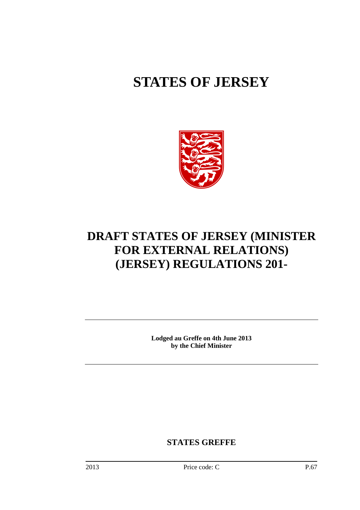# **STATES OF JERSEY**



## **DRAFT STATES OF JERSEY (MINISTER FOR EXTERNAL RELATIONS) (JERSEY) REGULATIONS 201-**

**Lodged au Greffe on 4th June 2013 by the Chief Minister** 

**STATES GREFFE**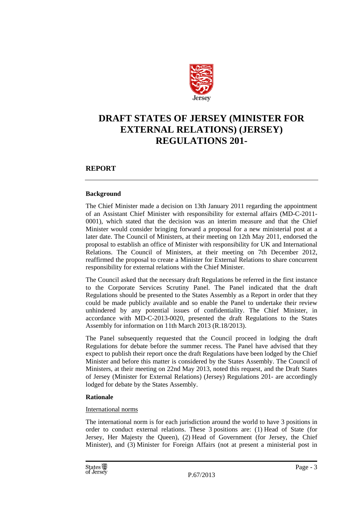

## **DRAFT STATES OF JERSEY (MINISTER FOR EXTERNAL RELATIONS) (JERSEY) REGULATIONS 201-**

#### **REPORT**

#### **Background**

The Chief Minister made a decision on 13th January 2011 regarding the appointment of an Assistant Chief Minister with responsibility for external affairs (MD-C-2011- 0001), which stated that the decision was an interim measure and that the Chief Minister would consider bringing forward a proposal for a new ministerial post at a later date. The Council of Ministers, at their meeting on 12th May 2011, endorsed the proposal to establish an office of Minister with responsibility for UK and International Relations. The Council of Ministers, at their meeting on 7th December 2012, reaffirmed the proposal to create a Minister for External Relations to share concurrent responsibility for external relations with the Chief Minister.

The Council asked that the necessary draft Regulations be referred in the first instance to the Corporate Services Scrutiny Panel. The Panel indicated that the draft Regulations should be presented to the States Assembly as a Report in order that they could be made publicly available and so enable the Panel to undertake their review unhindered by any potential issues of confidentiality. The Chief Minister, in accordance with MD-C-2013-0020, presented the draft Regulations to the States Assembly for information on 11th March 2013 (R.18/2013).

The Panel subsequently requested that the Council proceed in lodging the draft Regulations for debate before the summer recess. The Panel have advised that they expect to publish their report once the draft Regulations have been lodged by the Chief Minister and before this matter is considered by the States Assembly. The Council of Ministers, at their meeting on 22nd May 2013, noted this request, and the Draft States of Jersey (Minister for External Relations) (Jersey) Regulations 201- are accordingly lodged for debate by the States Assembly.

#### **Rationale**

#### International norms

The international norm is for each jurisdiction around the world to have 3 positions in order to conduct external relations. These 3 positions are: (1) Head of State (for Jersey, Her Majesty the Queen), (2) Head of Government (for Jersey, the Chief Minister), and (3) Minister for Foreign Affairs (not at present a ministerial post in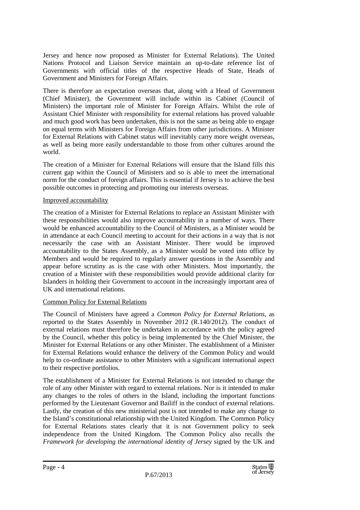Jersey and hence now proposed as Minister for External Relations). The United Nations Protocol and Liaison Service maintain an up-to-date reference list of Governments with official titles of the respective Heads of State, Heads of Government and Ministers for Foreign Affairs.

There is therefore an expectation overseas that, along with a Head of Government (Chief Minister), the Government will include within its Cabinet (Council of Ministers) the important role of Minister for Foreign Affairs. Whilst the role of Assistant Chief Minister with responsibility for external relations has proved valuable and much good work has been undertaken, this is not the same as being able to engage on equal terms with Ministers for Foreign Affairs from other jurisdictions. A Minister for External Relations with Cabinet status will inevitably carry more weight overseas, as well as being more easily understandable to those from other cultures around the world.

The creation of a Minister for External Relations will ensure that the Island fills this current gap within the Council of Ministers and so is able to meet the international norm for the conduct of foreign affairs. This is essential if Jersey is to achieve the best possible outcomes in protecting and promoting our interests overseas.

#### Improved accountability

The creation of a Minister for External Relations to replace an Assistant Minister with these responsibilities would also improve accountability in a number of ways. There would be enhanced accountability to the Council of Ministers, as a Minister would be in attendance at each Council meeting to account for their actions in a way that is not necessarily the case with an Assistant Minister. There would be improved accountability to the States Assembly, as a Minister would be voted into office by Members and would be required to regularly answer questions in the Assembly and appear before scrutiny as is the case with other Ministers. Most importantly, the creation of a Minister with these responsibilities would provide additional clarity for Islanders in holding their Government to account in the increasingly important area of UK and international relations.

#### Common Policy for External Relations

The Council of Ministers have agreed a *Common Policy for External Relations*, as reported to the States Assembly in November 2012 (R.140/2012). The conduct of external relations must therefore be undertaken in accordance with the policy agreed by the Council, whether this policy is being implemented by the Chief Minister, the Minister for External Relations or any other Minister. The establishment of a Minister for External Relations would enhance the delivery of the Common Policy and would help to co-ordinate assistance to other Ministers with a significant international aspect to their respective portfolios.

The establishment of a Minister for External Relations is not intended to change the role of any other Minister with regard to external relations. Nor is it intended to make any changes to the roles of others in the Island, including the important functions performed by the Lieutenant Governor and Bailiff in the conduct of external relations. Lastly, the creation of this new ministerial post is not intended to make any change to the Island's constitutional relationship with the United Kingdom. The Common Policy for External Relations states clearly that it is not Government policy to seek independence from the United Kingdom. The Common Policy also recalls the *Framework for developing the international identity of Jersey* signed by the UK and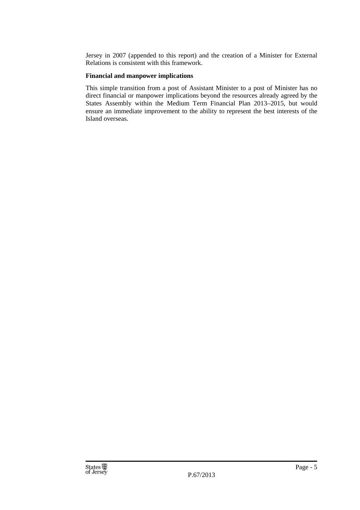Jersey in 2007 (appended to this report) and the creation of a Minister for External Relations is consistent with this framework.

#### **Financial and manpower implications**

This simple transition from a post of Assistant Minister to a post of Minister has no direct financial or manpower implications beyond the resources already agreed by the States Assembly within the Medium Term Financial Plan 2013–2015, but would ensure an immediate improvement to the ability to represent the best interests of the Island overseas.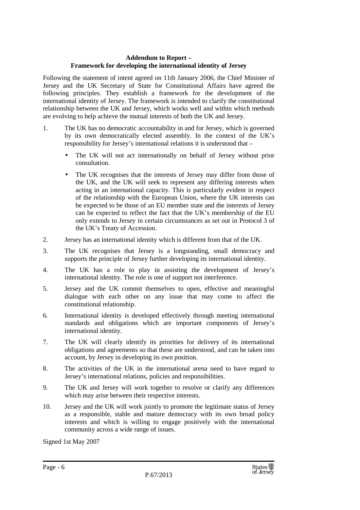#### **Addendum to Report – Framework for developing the international identity of Jersey**

Following the statement of intent agreed on 11th January 2006, the Chief Minister of Jersey and the UK Secretary of State for Constitutional Affairs have agreed the following principles. They establish a framework for the development of the international identity of Jersey. The framework is intended to clarify the constitutional relationship between the UK and Jersey, which works well and within which methods are evolving to help achieve the mutual interests of both the UK and Jersey.

- 1. The UK has no democratic accountability in and for Jersey, which is governed by its own democratically elected assembly. In the context of the UK's responsibility for Jersey's international relations it is understood that –
	- The UK will not act internationally on behalf of Jersey without prior consultation.
	- The UK recognises that the interests of Jersey may differ from those of the UK, and the UK will seek to represent any differing interests when acting in an international capacity. This is particularly evident in respect of the relationship with the European Union, where the UK interests can be expected to be those of an EU member state and the interests of Jersey can be expected to reflect the fact that the UK's membership of the EU only extends to Jersey in certain circumstances as set out in Protocol 3 of the UK's Treaty of Accession.
- 2. Jersey has an international identity which is different from that of the UK.
- 3. The UK recognises that Jersey is a longstanding, small democracy and supports the principle of Jersey further developing its international identity.
- 4. The UK has a role to play in assisting the development of Jersey's international identity. The role is one of support not interference.
- 5. Jersey and the UK commit themselves to open, effective and meaningful dialogue with each other on any issue that may come to affect the constitutional relationship.
- 6. International identity is developed effectively through meeting international standards and obligations which are important components of Jersey's international identity.
- 7. The UK will clearly identify its priorities for delivery of its international obligations and agreements so that these are understood, and can be taken into account, by Jersey in developing its own position.
- 8. The activities of the UK in the international arena need to have regard to Jersey's international relations, policies and responsibilities.
- 9. The UK and Jersey will work together to resolve or clarify any differences which may arise between their respective interests.
- 10. Jersey and the UK will work jointly to promote the legitimate status of Jersey as a responsible, stable and mature democracy with its own broad policy interests and which is willing to engage positively with the international community across a wide range of issues.

Signed 1st May 2007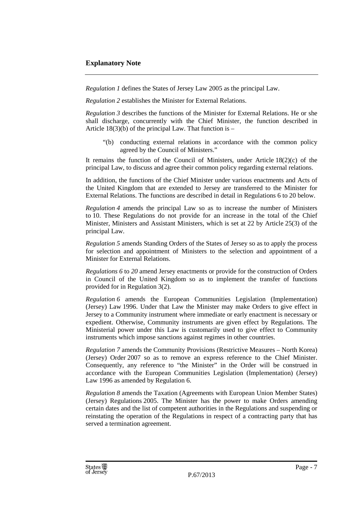*Regulation 1* defines the States of Jersey Law 2005 as the principal Law.

*Regulation 2* establishes the Minister for External Relations.

*Regulation 3* describes the functions of the Minister for External Relations. He or she shall discharge, concurrently with the Chief Minister, the function described in Article  $18(3)(b)$  of the principal Law. That function is –

"(b) conducting external relations in accordance with the common policy agreed by the Council of Ministers."

It remains the function of the Council of Ministers, under Article  $18(2)(c)$  of the principal Law, to discuss and agree their common policy regarding external relations.

In addition, the functions of the Chief Minister under various enactments and Acts of the United Kingdom that are extended to Jersey are transferred to the Minister for External Relations. The functions are described in detail in Regulations 6 to 20 below.

*Regulation 4* amends the principal Law so as to increase the number of Ministers to 10. These Regulations do not provide for an increase in the total of the Chief Minister, Ministers and Assistant Ministers, which is set at 22 by Article 25(3) of the principal Law.

*Regulation 5* amends Standing Orders of the States of Jersey so as to apply the process for selection and appointment of Ministers to the selection and appointment of a Minister for External Relations.

*Regulations 6* to *20* amend Jersey enactments or provide for the construction of Orders in Council of the United Kingdom so as to implement the transfer of functions provided for in Regulation 3(2).

*Regulation 6* amends the European Communities Legislation (Implementation) (Jersey) Law 1996. Under that Law the Minister may make Orders to give effect in Jersey to a Community instrument where immediate or early enactment is necessary or expedient. Otherwise, Community instruments are given effect by Regulations. The Ministerial power under this Law is customarily used to give effect to Community instruments which impose sanctions against regimes in other countries.

*Regulation 7* amends the Community Provisions (Restrictive Measures – North Korea) (Jersey) Order 2007 so as to remove an express reference to the Chief Minister. Consequently, any reference to "the Minister" in the Order will be construed in accordance with the European Communities Legislation (Implementation) (Jersey) Law 1996 as amended by Regulation 6.

*Regulation 8* amends the Taxation (Agreements with European Union Member States) (Jersey) Regulations 2005. The Minister has the power to make Orders amending certain dates and the list of competent authorities in the Regulations and suspending or reinstating the operation of the Regulations in respect of a contracting party that has served a termination agreement.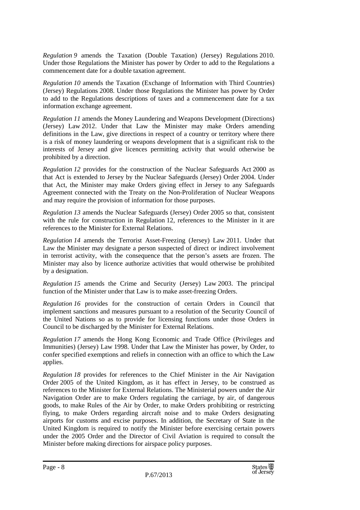*Regulation 9* amends the Taxation (Double Taxation) (Jersey) Regulations 2010. Under those Regulations the Minister has power by Order to add to the Regulations a commencement date for a double taxation agreement.

*Regulation 10* amends the Taxation (Exchange of Information with Third Countries) (Jersey) Regulations 2008. Under those Regulations the Minister has power by Order to add to the Regulations descriptions of taxes and a commencement date for a tax information exchange agreement.

*Regulation 11* amends the Money Laundering and Weapons Development (Directions) (Jersey) Law 2012. Under that Law the Minister may make Orders amending definitions in the Law, give directions in respect of a country or territory where there is a risk of money laundering or weapons development that is a significant risk to the interests of Jersey and give licences permitting activity that would otherwise be prohibited by a direction.

*Regulation 12* provides for the construction of the Nuclear Safeguards Act 2000 as that Act is extended to Jersey by the Nuclear Safeguards (Jersey) Order 2004. Under that Act, the Minister may make Orders giving effect in Jersey to any Safeguards Agreement connected with the Treaty on the Non-Proliferation of Nuclear Weapons and may require the provision of information for those purposes.

*Regulation 13* amends the Nuclear Safeguards (Jersey) Order 2005 so that, consistent with the rule for construction in Regulation 12, references to the Minister in it are references to the Minister for External Relations.

*Regulation 14* amends the Terrorist Asset-Freezing (Jersey) Law 2011. Under that Law the Minister may designate a person suspected of direct or indirect involvement in terrorist activity, with the consequence that the person's assets are frozen. The Minister may also by licence authorize activities that would otherwise be prohibited by a designation.

*Regulation 15* amends the Crime and Security (Jersey) Law 2003. The principal function of the Minister under that Law is to make asset-freezing Orders.

*Regulation 16* provides for the construction of certain Orders in Council that implement sanctions and measures pursuant to a resolution of the Security Council of the United Nations so as to provide for licensing functions under those Orders in Council to be discharged by the Minister for External Relations.

*Regulation 17* amends the Hong Kong Economic and Trade Office (Privileges and Immunities) (Jersey) Law 1998. Under that Law the Minister has power, by Order, to confer specified exemptions and reliefs in connection with an office to which the Law applies.

*Regulation 18* provides for references to the Chief Minister in the Air Navigation Order 2005 of the United Kingdom, as it has effect in Jersey, to be construed as references to the Minister for External Relations. The Ministerial powers under the Air Navigation Order are to make Orders regulating the carriage, by air, of dangerous goods, to make Rules of the Air by Order, to make Orders prohibiting or restricting flying, to make Orders regarding aircraft noise and to make Orders designating airports for customs and excise purposes. In addition, the Secretary of State in the United Kingdom is required to notify the Minister before exercising certain powers under the 2005 Order and the Director of Civil Aviation is required to consult the Minister before making directions for airspace policy purposes.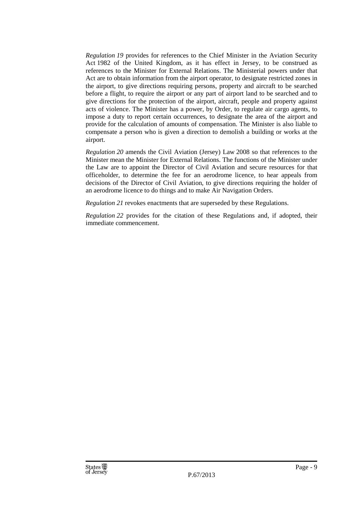*Regulation 19* provides for references to the Chief Minister in the Aviation Security Act 1982 of the United Kingdom, as it has effect in Jersey, to be construed as references to the Minister for External Relations. The Ministerial powers under that Act are to obtain information from the airport operator, to designate restricted zones in the airport, to give directions requiring persons, property and aircraft to be searched before a flight, to require the airport or any part of airport land to be searched and to give directions for the protection of the airport, aircraft, people and property against acts of violence. The Minister has a power, by Order, to regulate air cargo agents, to impose a duty to report certain occurrences, to designate the area of the airport and provide for the calculation of amounts of compensation. The Minister is also liable to compensate a person who is given a direction to demolish a building or works at the airport.

*Regulation 20* amends the Civil Aviation (Jersey) Law 2008 so that references to the Minister mean the Minister for External Relations. The functions of the Minister under the Law are to appoint the Director of Civil Aviation and secure resources for that officeholder, to determine the fee for an aerodrome licence, to hear appeals from decisions of the Director of Civil Aviation, to give directions requiring the holder of an aerodrome licence to do things and to make Air Navigation Orders.

*Regulation 21* revokes enactments that are superseded by these Regulations.

*Regulation 22* provides for the citation of these Regulations and, if adopted, their immediate commencement.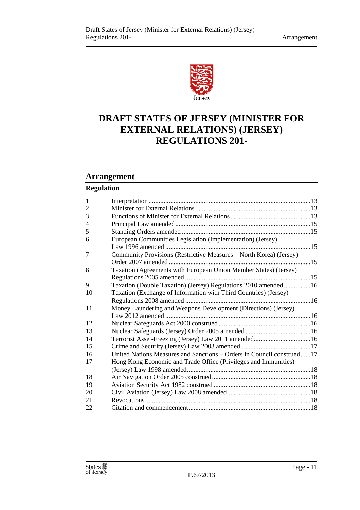

## **DRAFT STATES OF JERSEY (MINISTER FOR EXTERNAL RELATIONS) (JERSEY) REGULATIONS 201-**

#### **Arrangement**

### **Regulation**

| $\mathbf{1}$   |                                                                       |  |  |
|----------------|-----------------------------------------------------------------------|--|--|
| $\overline{2}$ |                                                                       |  |  |
| 3              |                                                                       |  |  |
| 4              |                                                                       |  |  |
| 5              |                                                                       |  |  |
| 6              | European Communities Legislation (Implementation) (Jersey)            |  |  |
|                |                                                                       |  |  |
| 7              | Community Provisions (Restrictive Measures - North Korea) (Jersey)    |  |  |
|                |                                                                       |  |  |
| 8              | Taxation (Agreements with European Union Member States) (Jersey)      |  |  |
|                |                                                                       |  |  |
| 9              | Taxation (Double Taxation) (Jersey) Regulations 2010 amended16        |  |  |
| 10             | Taxation (Exchange of Information with Third Countries) (Jersey)      |  |  |
|                |                                                                       |  |  |
| 11             | Money Laundering and Weapons Development (Directions) (Jersey)        |  |  |
|                |                                                                       |  |  |
| 12             |                                                                       |  |  |
| 13             |                                                                       |  |  |
| 14             |                                                                       |  |  |
| 15             |                                                                       |  |  |
| 16             | United Nations Measures and Sanctions - Orders in Council construed17 |  |  |
| 17             | Hong Kong Economic and Trade Office (Privileges and Immunities)       |  |  |
|                |                                                                       |  |  |
| 18             |                                                                       |  |  |
| 19             |                                                                       |  |  |
| 20             |                                                                       |  |  |
| 21             |                                                                       |  |  |
| 22             |                                                                       |  |  |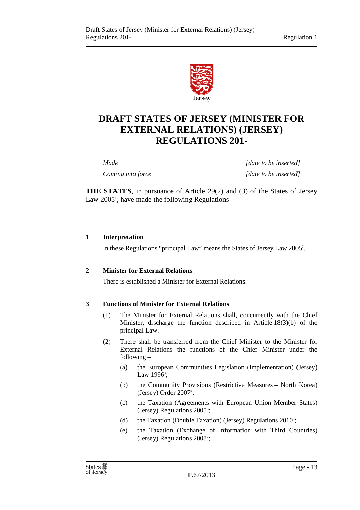

## **DRAFT STATES OF JERSEY (MINISTER FOR EXTERNAL RELATIONS) (JERSEY) REGULATIONS 201-**

*Made Made Made Made Made Made Made Made inserted Coming into force* [date to be inserted]

**THE STATES**, in pursuance of Article 29(2) and (3) of the States of Jersey Law 2005<sup>1</sup>, have made the following Regulations  $-$ 

#### **1 Interpretation**

In these Regulations "principal Law" means the States of Jersey Law 2005<sup>2</sup> .

#### **2 Minister for External Relations**

There is established a Minister for External Relations.

#### **3 Functions of Minister for External Relations**

- (1) The Minister for External Relations shall, concurrently with the Chief Minister, discharge the function described in Article 18(3)(b) of the principal Law.
- (2) There shall be transferred from the Chief Minister to the Minister for External Relations the functions of the Chief Minister under the following –
	- (a) the European Communities Legislation (Implementation) (Jersey) Law  $1996^3$ ;
	- (b) the Community Provisions (Restrictive Measures North Korea) (Jersey) Order 2007<sup>4</sup>;
	- (c) the Taxation (Agreements with European Union Member States) (Jersey) Regulations 2005<sup>5</sup>;
	- (d) the Taxation (Double Taxation) (Jersey) Regulations 2010<sup>6</sup>;
	- (e) the Taxation (Exchange of Information with Third Countries) (Jersey) Regulations 2008<sup>7</sup> ;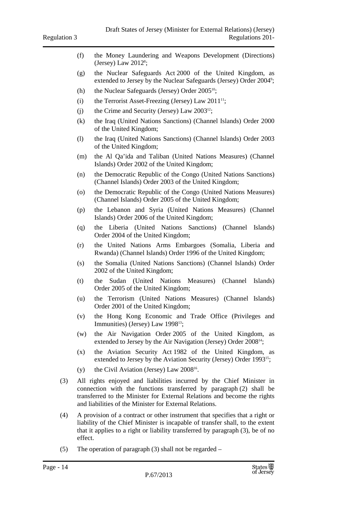- (f) the Money Laundering and Weapons Development (Directions)  $(Jersey)$  Law  $2012$ <sup>8</sup>;
- (g) the Nuclear Safeguards Act 2000 of the United Kingdom, as extended to Jersey by the Nuclear Safeguards (Jersey) Order 2004<sup>9</sup>;
- (h) the Nuclear Safeguards (Jersey) Order  $2005^{10}$ ;
- (i) the Terrorist Asset-Freezing (Jersey) Law  $2011^{11}$ ;
- (i) the Crime and Security (Jersey) Law  $2003^{12}$ ;
- (k) the Iraq (United Nations Sanctions) (Channel Islands) Order 2000 of the United Kingdom;
- (l) the Iraq (United Nations Sanctions) (Channel Islands) Order 2003 of the United Kingdom;
- (m) the Al Qa'ida and Taliban (United Nations Measures) (Channel Islands) Order 2002 of the United Kingdom;
- (n) the Democratic Republic of the Congo (United Nations Sanctions) (Channel Islands) Order 2003 of the United Kingdom;
- (o) the Democratic Republic of the Congo (United Nations Measures) (Channel Islands) Order 2005 of the United Kingdom;
- (p) the Lebanon and Syria (United Nations Measures) (Channel Islands) Order 2006 of the United Kingdom;
- (q) the Liberia (United Nations Sanctions) (Channel Islands) Order 2004 of the United Kingdom;
- (r) the United Nations Arms Embargoes (Somalia, Liberia and Rwanda) (Channel Islands) Order 1996 of the United Kingdom;
- (s) the Somalia (United Nations Sanctions) (Channel Islands) Order 2002 of the United Kingdom;
- (t) the Sudan (United Nations Measures) (Channel Islands) Order 2005 of the United Kingdom;
- (u) the Terrorism (United Nations Measures) (Channel Islands) Order 2001 of the United Kingdom;
- (v) the Hong Kong Economic and Trade Office (Privileges and Immunities) (Jersey) Law 1998<sup>13</sup>;
- (w) the Air Navigation Order 2005 of the United Kingdom, as extended to Jersey by the Air Navigation (Jersey) Order 2008<sup>14</sup>;
- (x) the Aviation Security Act 1982 of the United Kingdom, as extended to Jersey by the Aviation Security (Jersey) Order 1993<sup>15</sup>;
- (y) the Civil Aviation (Jersey) Law  $2008^{16}$ .
- (3) All rights enjoyed and liabilities incurred by the Chief Minister in connection with the functions transferred by paragraph (2) shall be transferred to the Minister for External Relations and become the rights and liabilities of the Minister for External Relations.
- (4) A provision of a contract or other instrument that specifies that a right or liability of the Chief Minister is incapable of transfer shall, to the extent that it applies to a right or liability transferred by paragraph (3), be of no effect.
- (5) The operation of paragraph (3) shall not be regarded –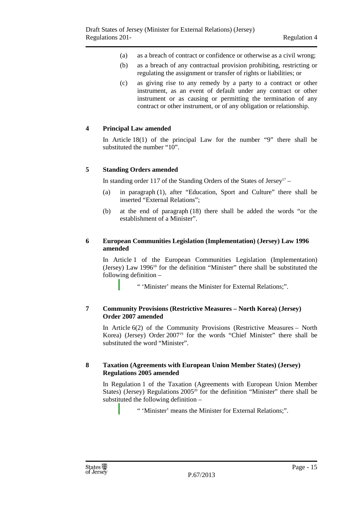- (a) as a breach of contract or confidence or otherwise as a civil wrong;
- (b) as a breach of any contractual provision prohibiting, restricting or regulating the assignment or transfer of rights or liabilities; or
- (c) as giving rise to any remedy by a party to a contract or other instrument, as an event of default under any contract or other instrument or as causing or permitting the termination of any contract or other instrument, or of any obligation or relationship.

#### **4 Principal Law amended**

In Article 18(1) of the principal Law for the number "9" there shall be substituted the number "10".

#### **5 Standing Orders amended**

In standing order 117 of the Standing Orders of the States of Jersey<sup>17</sup> –

- (a) in paragraph (1), after "Education, Sport and Culture" there shall be inserted "External Relations";
- (b) at the end of paragraph (18) there shall be added the words "or the establishment of a Minister".

#### **6 European Communities Legislation (Implementation) (Jersey) Law 1996 amended**

In Article 1 of the European Communities Legislation (Implementation) (Jersey) Law 1996<sup>18</sup> for the definition "Minister" there shall be substituted the following definition –

" 'Minister' means the Minister for External Relations;".

#### **7 Community Provisions (Restrictive Measures – North Korea) (Jersey) Order 2007 amended**

In Article 6(2) of the Community Provisions (Restrictive Measures – North Korea) (Jersey) Order 2007<sup>19</sup> for the words "Chief Minister" there shall be substituted the word "Minister".

#### **8 Taxation (Agreements with European Union Member States) (Jersey) Regulations 2005 amended**

In Regulation 1 of the Taxation (Agreements with European Union Member States) (Jersey) Regulations 2005<sup>20</sup> for the definition "Minister" there shall be substituted the following definition –

" 'Minister' means the Minister for External Relations;".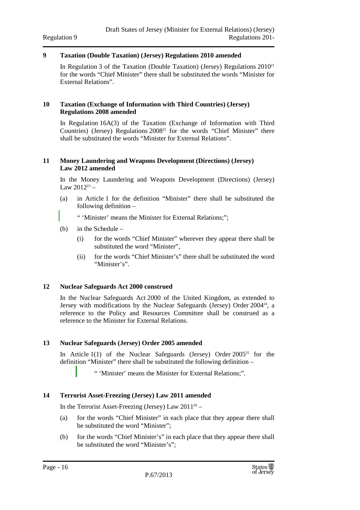#### **9 Taxation (Double Taxation) (Jersey) Regulations 2010 amended**

In Regulation 3 of the Taxation (Double Taxation) (Jersey) Regulations  $2010^{21}$ for the words "Chief Minister" there shall be substituted the words "Minister for External Relations".

#### **10 Taxation (Exchange of Information with Third Countries) (Jersey) Regulations 2008 amended**

In Regulation 16A(3) of the Taxation (Exchange of Information with Third Countries) (Jersey) Regulations  $2008^{22}$  for the words "Chief Minister" there shall be substituted the words "Minister for External Relations".

#### **11 Money Laundering and Weapons Development (Directions) (Jersey) Law 2012 amended**

In the Money Laundering and Weapons Development (Directions) (Jersey) Law  $2012^{23}$  –

(a) in Article 1 for the definition "Minister" there shall be substituted the following definition –

" 'Minister' means the Minister for External Relations;";

- (b) in the Schedule
	- (i) for the words "Chief Minister" wherever they appear there shall be substituted the word "Minister",
	- (ii) for the words "Chief Minister's" there shall be substituted the word "Minister's".

#### **12 Nuclear Safeguards Act 2000 construed**

In the Nuclear Safeguards Act 2000 of the United Kingdom, as extended to Jersey with modifications by the Nuclear Safeguards (Jersey) Order  $2004^{24}$ , a reference to the Policy and Resources Committee shall be construed as a reference to the Minister for External Relations.

#### **13 Nuclear Safeguards (Jersey) Order 2005 amended**

In Article  $1(1)$  of the Nuclear Safeguards (Jersey) Order  $2005^{25}$  for the definition "Minister" there shall be substituted the following definition –

" 'Minister' means the Minister for External Relations;".

#### **14 Terrorist Asset-Freezing (Jersey) Law 2011 amended**

In the Terrorist Asset-Freezing (Jersey) Law  $2011^{26}$  –

- (a) for the words "Chief Minister" in each place that they appear there shall be substituted the word "Minister";
- (b) for the words "Chief Minister's" in each place that they appear there shall be substituted the word "Minister's";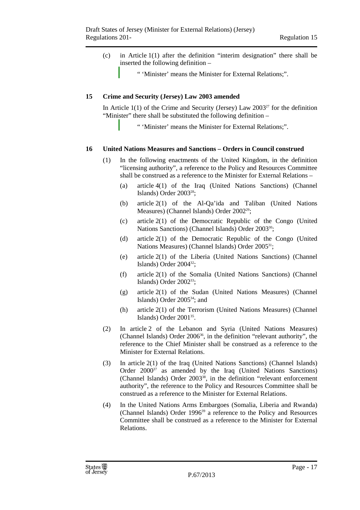- (c) in Article 1(1) after the definition "interim designation" there shall be inserted the following definition –
	- " 'Minister' means the Minister for External Relations;".

#### **15 Crime and Security (Jersey) Law 2003 amended**

In Article  $1(1)$  of the Crime and Security (Jersey) Law 2003<sup>27</sup> for the definition "Minister" there shall be substituted the following definition –

" 'Minister' means the Minister for External Relations;".

#### **16 United Nations Measures and Sanctions – Orders in Council construed**

- (1) In the following enactments of the United Kingdom, in the definition "licensing authority", a reference to the Policy and Resources Committee shall be construed as a reference to the Minister for External Relations –
	- (a) article 4(1) of the Iraq (United Nations Sanctions) (Channel Islands) Order 2003<sup>28</sup>;
	- (b) article 2(1) of the Al-Qa'ida and Taliban (United Nations Measures) (Channel Islands) Order 2002<sup>29</sup>;
	- (c) article 2(1) of the Democratic Republic of the Congo (United Nations Sanctions) (Channel Islands) Order 2003<sup>30</sup>;
	- (d) article 2(1) of the Democratic Republic of the Congo (United Nations Measures) (Channel Islands) Order 2005<sup>31</sup>;
	- (e) article 2(1) of the Liberia (United Nations Sanctions) (Channel Islands) Order 2004<sup>32</sup>;
	- (f) article 2(1) of the Somalia (United Nations Sanctions) (Channel Islands) Order  $2002^{33}$ ;
	- (g) article 2(1) of the Sudan (United Nations Measures) (Channel Islands) Order 2005<sup>34</sup>; and
	- (h) article 2(1) of the Terrorism (United Nations Measures) (Channel Islands) Order 2001<sup>35</sup> .
- (2) In article 2 of the Lebanon and Syria (United Nations Measures) (Channel Islands) Order 2006<sup>36</sup>, in the definition "relevant authority", the reference to the Chief Minister shall be construed as a reference to the Minister for External Relations.
- (3) In article 2(1) of the Iraq (United Nations Sanctions) (Channel Islands) Order 2000<sup>37</sup> as amended by the Iraq (United Nations Sanctions) (Channel Islands) Order 2003<sup>38</sup>, in the definition "relevant enforcement authority", the reference to the Policy and Resources Committee shall be construed as a reference to the Minister for External Relations.
- (4) In the United Nations Arms Embargoes (Somalia, Liberia and Rwanda) (Channel Islands) Order 1996<sup>39</sup> a reference to the Policy and Resources Committee shall be construed as a reference to the Minister for External Relations.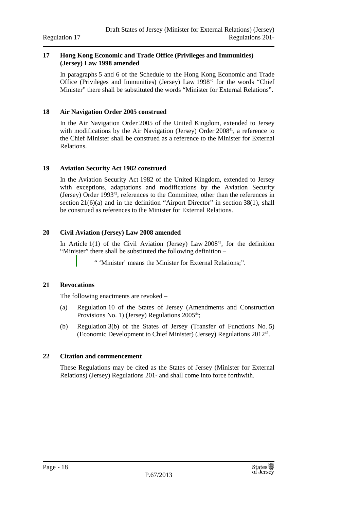#### **17 Hong Kong Economic and Trade Office (Privileges and Immunities) (Jersey) Law 1998 amended**

In paragraphs 5 and 6 of the Schedule to the Hong Kong Economic and Trade Office (Privileges and Immunities) (Jersey) Law 1998 <sup>40</sup> for the words "Chief Minister" there shall be substituted the words "Minister for External Relations".

#### **18 Air Navigation Order 2005 construed**

In the Air Navigation Order 2005 of the United Kingdom, extended to Jersey with modifications by the Air Navigation (Jersey) Order  $2008<sup>41</sup>$ , a reference to the Chief Minister shall be construed as a reference to the Minister for External Relations.

#### **19 Aviation Security Act 1982 construed**

In the Aviation Security Act 1982 of the United Kingdom, extended to Jersey with exceptions, adaptations and modifications by the Aviation Security (Jersey) Order 1993<sup>42</sup>, references to the Committee, other than the references in section 21(6)(a) and in the definition "Airport Director" in section 38(1), shall be construed as references to the Minister for External Relations.

#### **20 Civil Aviation (Jersey) Law 2008 amended**

In Article  $1(1)$  of the Civil Aviation (Jersey) Law 2008<sup>43</sup>, for the definition "Minister" there shall be substituted the following definition –

" 'Minister' means the Minister for External Relations;".

#### **21 Revocations**

The following enactments are revoked –

- (a) Regulation 10 of the States of Jersey (Amendments and Construction Provisions No. 1) (Jersey) Regulations  $2005^{44}$ ;
- (b) Regulation 3(b) of the States of Jersey (Transfer of Functions No. 5) (Economic Development to Chief Minister) (Jersey) Regulations 2012<sup>45</sup> .

#### **22 Citation and commencement**

These Regulations may be cited as the States of Jersey (Minister for External Relations) (Jersey) Regulations 201- and shall come into force forthwith.